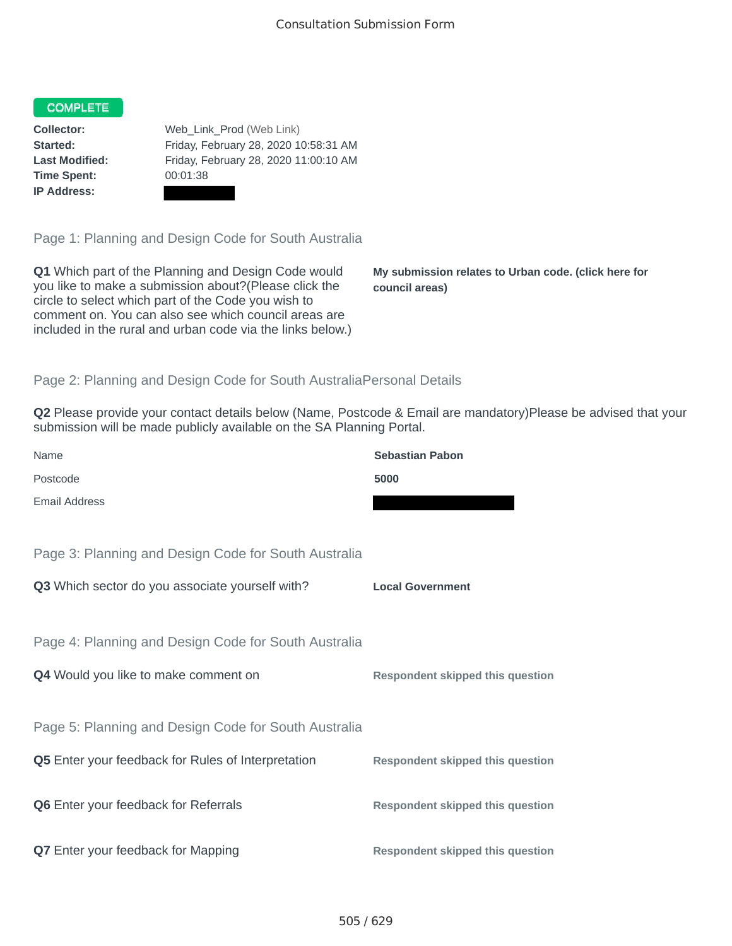## COMPLETE

**Time Spent:** 00:01:38 **IP Address:**

**Collector:** Web\_Link\_Prod (Web Link) **Started:** Friday, February 28, 2020 10:58:31 AM **Last Modified:** Friday, February 28, 2020 11:00:10 AM

Page 1: Planning and Design Code for South Australia

**Q1** Which part of the Planning and Design Code would you like to make a submission about?(Please click the circle to select which part of the Code you wish to comment on. You can also see which council areas are included in the rural and urban code via the links below.)

**My submission relates to Urban code. (click here for council areas)**

## Page 2: Planning and Design Code for South AustraliaPersonal Details

**Q2** Please provide your contact details below (Name, Postcode & Email are mandatory)Please be advised that your submission will be made publicly available on the SA Planning Portal.

| Name                                                 | <b>Sebastian Pabon</b>                  |
|------------------------------------------------------|-----------------------------------------|
| Postcode                                             | 5000                                    |
| Email Address                                        |                                         |
|                                                      |                                         |
| Page 3: Planning and Design Code for South Australia |                                         |
| Q3 Which sector do you associate yourself with?      | <b>Local Government</b>                 |
|                                                      |                                         |
| Page 4: Planning and Design Code for South Australia |                                         |
| Q4 Would you like to make comment on                 | <b>Respondent skipped this question</b> |
|                                                      |                                         |
| Page 5: Planning and Design Code for South Australia |                                         |
| Q5 Enter your feedback for Rules of Interpretation   | <b>Respondent skipped this question</b> |
|                                                      |                                         |
| Q6 Enter your feedback for Referrals                 | <b>Respondent skipped this question</b> |
| Q7 Enter your feedback for Mapping                   | <b>Respondent skipped this question</b> |
|                                                      |                                         |